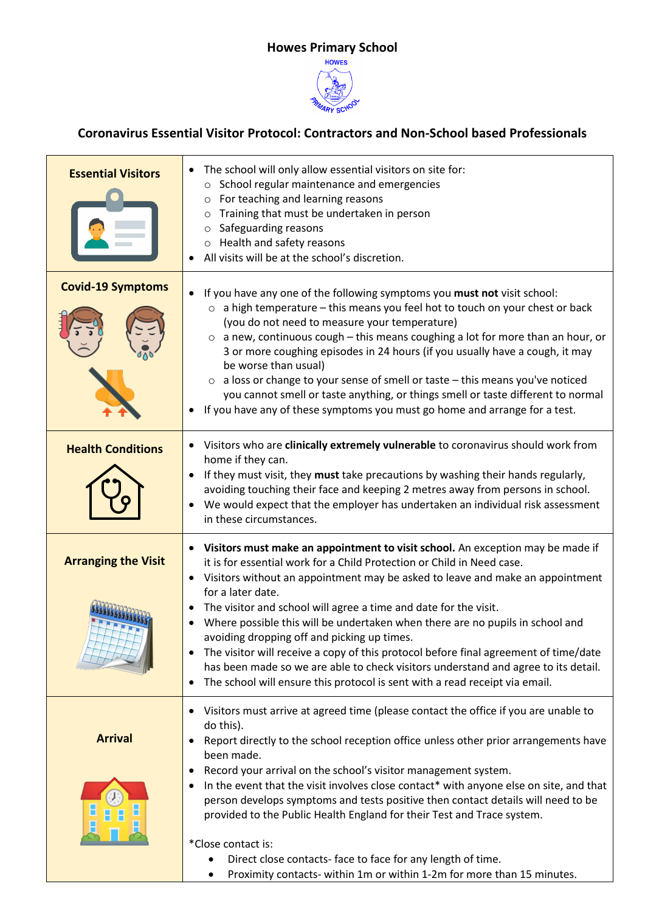## **Howes Primary School**



## **Coronavirus Essential Visitor Protocol: Contractors and Non-School based Professionals**

 $\blacksquare$ 

| <b>Essential Visitors</b>  | The school will only allow essential visitors on site for:<br>School regular maintenance and emergencies<br>$\circ$<br>For teaching and learning reasons<br>Training that must be undertaken in person<br>$\circ$<br>Safeguarding reasons<br>$\circ$<br>o Health and safety reasons<br>All visits will be at the school's discretion.                                                                                                                                                                                                                                                                                                                                                                                                                       |
|----------------------------|-------------------------------------------------------------------------------------------------------------------------------------------------------------------------------------------------------------------------------------------------------------------------------------------------------------------------------------------------------------------------------------------------------------------------------------------------------------------------------------------------------------------------------------------------------------------------------------------------------------------------------------------------------------------------------------------------------------------------------------------------------------|
| <b>Covid-19 Symptoms</b>   | If you have any one of the following symptoms you must not visit school:<br>$\circ$ a high temperature – this means you feel hot to touch on your chest or back<br>(you do not need to measure your temperature)<br>$\circ$ a new, continuous cough – this means coughing a lot for more than an hour, or<br>3 or more coughing episodes in 24 hours (if you usually have a cough, it may<br>be worse than usual)<br>$\circ$ a loss or change to your sense of smell or taste – this means you've noticed<br>you cannot smell or taste anything, or things smell or taste different to normal<br>If you have any of these symptoms you must go home and arrange for a test.                                                                                 |
| <b>Health Conditions</b>   | Visitors who are clinically extremely vulnerable to coronavirus should work from<br>$\bullet$<br>home if they can.<br>If they must visit, they must take precautions by washing their hands regularly,<br>avoiding touching their face and keeping 2 metres away from persons in school.<br>We would expect that the employer has undertaken an individual risk assessment<br>in these circumstances.                                                                                                                                                                                                                                                                                                                                                       |
| <b>Arranging the Visit</b> | • Visitors must make an appointment to visit school. An exception may be made if<br>it is for essential work for a Child Protection or Child in Need case.<br>Visitors without an appointment may be asked to leave and make an appointment<br>$\bullet$<br>for a later date.<br>The visitor and school will agree a time and date for the visit.<br>Where possible this will be undertaken when there are no pupils in school and<br>avoiding dropping off and picking up times.<br>The visitor will receive a copy of this protocol before final agreement of time/date<br>has been made so we are able to check visitors understand and agree to its detail.<br>The school will ensure this protocol is sent with a read receipt via email.<br>$\bullet$ |
| <b>Arrival</b>             | Visitors must arrive at agreed time (please contact the office if you are unable to<br>do this).<br>Report directly to the school reception office unless other prior arrangements have<br>been made.<br>Record your arrival on the school's visitor management system.<br>In the event that the visit involves close contact* with anyone else on site, and that<br>person develops symptoms and tests positive then contact details will need to be<br>provided to the Public Health England for their Test and Trace system.<br>*Close contact is:<br>Direct close contacts- face to face for any length of time.<br>Proximity contacts- within 1m or within 1-2m for more than 15 minutes.                                                              |